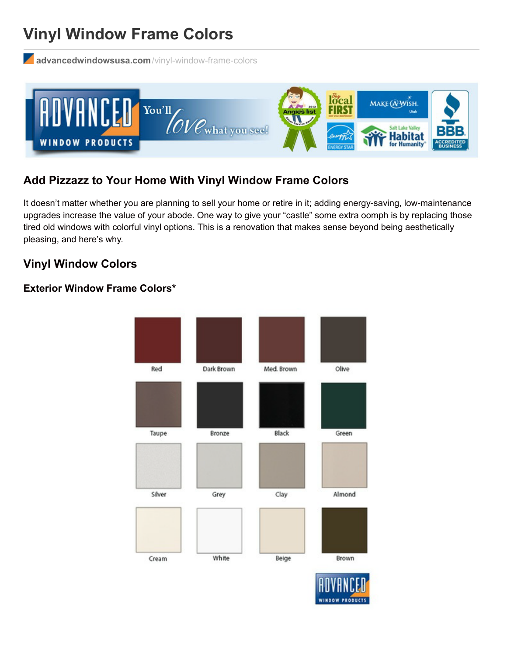# **Vinyl Window Frame Colors**

**[advancedwindowsusa.com](http://advancedwindowsusa.com/vinyl-window-frame-colors)**/vinyl-window-frame-colors



## **Add Pizzazz to Your Home With Vinyl Window Frame Colors**

It doesn't matter whether you are planning to sell your home or retire in it; adding energy-saving, low-maintenance upgrades increase the value of your abode. One way to give your "castle" some extra oomph is by replacing those tired old windows with colorful vinyl options. This is a renovation that makes sense beyond being aesthetically pleasing, and here's why.

### **Vinyl Window Colors**

#### **Exterior Window Frame Colors\***

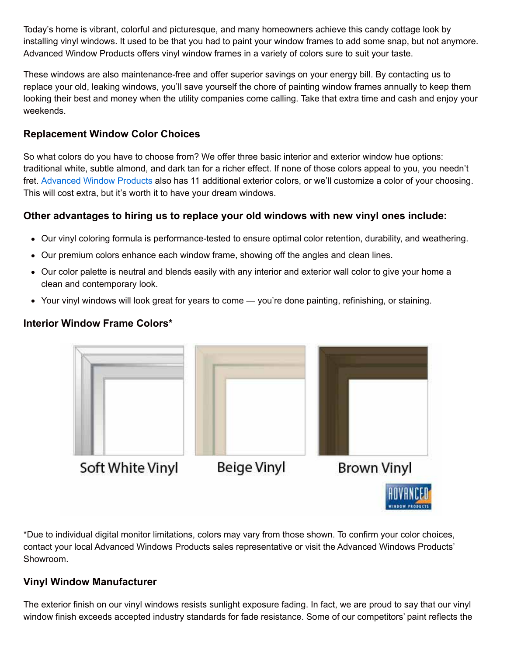Today's home is vibrant, colorful and picturesque, and many homeowners achieve this candy cottage look by installing vinyl windows. It used to be that you had to paint your window frames to add some snap, but not anymore. Advanced Window Products offers vinyl window frames in a variety of colors sure to suit your taste.

These windows are also maintenance-free and offer superior savings on your energy bill. By contacting us to replace your old, leaking windows, you'll save yourself the chore of painting window frames annually to keep them looking their best and money when the utility companies come calling. Take that extra time and cash and enjoy your weekends.

#### **Replacement Window Color Choices**

So what colors do you have to choose from? We offer three basic interior and exterior window hue options: traditional white, subtle almond, and dark tan for a richer effect. If none of those colors appeal to you, you needn't fret. [Advanced](http://advancedwindowsusa.com/) Window Products also has 11 additional exterior colors, or we'll customize a color of your choosing. This will cost extra, but it's worth it to have your dream windows.

#### **Other advantages to hiring us to replace your old windows with new vinyl ones include:**

- Our vinyl coloring formula is performance-tested to ensure optimal color retention, durability, and weathering.
- Our premium colors enhance each window frame, showing off the angles and clean lines.
- Our color palette is neutral and blends easily with any interior and exterior wall color to give your home a clean and contemporary look.
- Your vinyl windows will look great for years to come you're done painting, refinishing, or staining.

#### **Interior Window Frame Colors\***



\*Due to individual digital monitor limitations, colors may vary from those shown. To confirm your color choices, contact your local Advanced Windows Products sales representative or visit the Advanced Windows Products' Showroom.

#### **Vinyl Window Manufacturer**

The exterior finish on our vinyl windows resists sunlight exposure fading. In fact, we are proud to say that our vinyl window finish exceeds accepted industry standards for fade resistance. Some of our competitors' paint reflects the